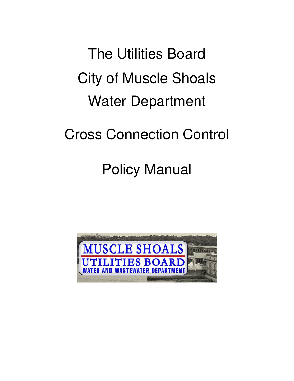The Utilities Board City of Muscle Shoals Water Department

Cross Connection Control

# Policy Manual

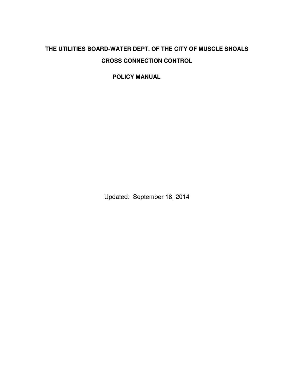# **THE UTILITIES BOARD-WATER DEPT. OF THE CITY OF MUSCLE SHOALS CROSS CONNECTION CONTROL**

**POLICY MANUAL** 

Updated: September 18, 2014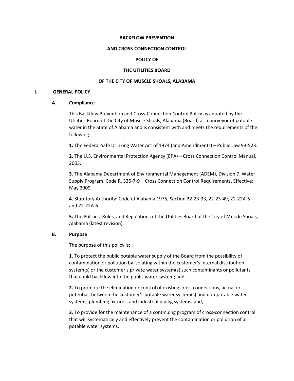#### BACKFLOW PREVENTION

#### AND CROSS-CONNECTION CONTROL

# POLICY OF

#### THE UTILITIES BOARD

#### OF THE CITY OF MUSCLE SHOALS, ALABAMA

#### I. GENERAL POLICY

#### A. Compliance

This Backflow Prevention and Cross-Connection Control Policy as adopted by the Utilities Board of the City of Muscle Shoals, Alabama (Board) as a purveyor of potable water in the State of Alabama and is consistent with and meets the requirements of the following:

1. The Federal Safe Drinking Water Act of 1974 (and Amendments) – Public Law 93-523.

2. The U.S. Environmental Protection Agency (EPA) – Cross Connection Control Manual, 2003.

3. The Alabama Department of Environmental Management (ADEM), Division 7, Water Supply Program, Code R. 335-7-9 – Cross Connection Control Requirements, Effective: May 2009.

4. Statutory Authority: Code of Alabama 1975, Section 22-23-33, 22-23-49, 22-22A-5 and 22-22A-6.

5. The Policies, Rules, and Regulations of the Utilities Board of the City of Muscle Shoals, Alabama (latest revision).

# B. Purpose

The purpose of this policy is:

1. To protect the public potable water supply of the Board from the possibility of contamination or pollution by isolating within the customer's internal distribution system(s) or the customer's private water system(s) such contaminants or pollutants that could backflow into the public water system; and,

2. To promote the elimination or control of existing cross-connections, actual or potential, between the customer's potable water system(s) and non-potable water systems, plumbing fixtures, and industrial piping systems; and,

3. To provide for the maintenance of a continuing program of cross-connection control that will systematically and effectively prevent the contamination or pollution of all potable water systems.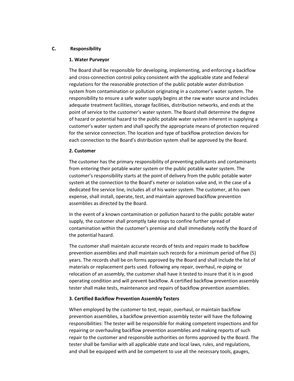# C. Responsibility

#### 1. Water Purveyor

The Board shall be responsible for developing, implementing, and enforcing a backflow and cross-connection control policy consistent with the applicable state and federal regulations for the reasonable protection of the public potable water distribution system from contamination or pollution originating in a customer's water system. The responsibility to ensure a safe water supply begins at the raw water source and includes adequate treatment facilities, storage facilities, distribution networks, and ends at the point of service to the customer's water system. The Board shall determine the degree of hazard or potential hazard to the public potable water system inherent in supplying a customer's water system and shall specify the appropriate means of protection required for the service connection. The location and type of backflow protection devices for each connection to the Board's distribution system shall be approved by the Board.

#### 2. Customer

The customer has the primary responsibility of preventing pollutants and contaminants from entering their potable water system or the public potable water system. The customer's responsibility starts at the point of delivery from the public potable water system at the connection to the Board's meter or isolation valve and, in the case of a dedicated fire service line, includes all of his water system. The customer, at his own expense, shall install, operate, test, and maintain approved backflow prevention assemblies as directed by the Board.

In the event of a known contamination or pollution hazard to the public potable water supply, the customer shall promptly take steps to confine further spread of contamination within the customer's premise and shall immediately notify the Board of the potential hazard.

The customer shall maintain accurate records of tests and repairs made to backflow prevention assemblies and shall maintain such records for a minimum period of five (5) years. The records shall be on forms approved by the Board and shall include the list of materials or replacement parts used. Following any repair, overhaul, re-piping or relocation of an assembly, the customer shall have it tested to insure that it is in good operating condition and will prevent backflow. A certified backflow prevention assembly tester shall make tests, maintenance and repairs of backflow prevention assemblies.

# 3. Certified Backflow Prevention Assembly Testers

When employed by the customer to test, repair, overhaul, or maintain backflow prevention assemblies, a backflow prevention assembly tester will have the following responsibilities: The tester will be responsible for making competent inspections and for repairing or overhauling backflow prevention assemblies and making reports of such repair to the customer and responsible authorities on forms approved by the Board. The tester shall be familiar with all applicable state and local laws, rules, and regulations, and shall be equipped with and be competent to use all the necessary tools, gauges,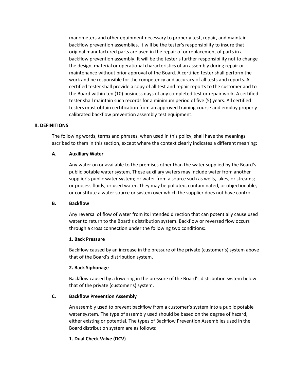manometers and other equipment necessary to properly test, repair, and maintain backflow prevention assemblies. It will be the tester's responsibility to insure that original manufactured parts are used in the repair of or replacement of parts in a backflow prevention assembly. It will be the tester's further responsibility not to change the design, material or operational characteristics of an assembly during repair or maintenance without prior approval of the Board. A certified tester shall perform the work and be responsible for the competency and accuracy of all tests and reports. A certified tester shall provide a copy of all test and repair reports to the customer and to the Board within ten (10) business days of any completed test or repair work. A certified tester shall maintain such records for a minimum period of five (5) years. All certified testers must obtain certification from an approved training course and employ properly calibrated backflow prevention assembly test equipment.

#### II. DEFINITIONS

The following words, terms and phrases, when used in this policy, shall have the meanings ascribed to them in this section, except where the context clearly indicates a different meaning:

#### A. Auxiliary Water

Any water on or available to the premises other than the water supplied by the Board's public potable water system. These auxiliary waters may include water from another supplier's public water system; or water from a source such as wells, lakes, or streams; or process fluids; or used water. They may be polluted, contaminated, or objectionable, or constitute a water source or system over which the supplier does not have control.

# B. Backflow

Any reversal of flow of water from its intended direction that can potentially cause used water to return to the Board's distribution system. Backflow or reversed flow occurs through a cross connection under the following two conditions:.

# 1. Back Pressure

Backflow caused by an increase in the pressure of the private (customer's) system above that of the Board's distribution system.

#### 2. Back Siphonage

Backflow caused by a lowering in the pressure of the Board's distribution system below that of the private (customer's) system.

# C. Backflow Prevention Assembly

An assembly used to prevent backflow from a customer's system into a public potable water system. The type of assembly used should be based on the degree of hazard, either existing or potential. The types of Backflow Prevention Assemblies used in the Board distribution system are as follows:

# 1. Dual Check Valve (DCV)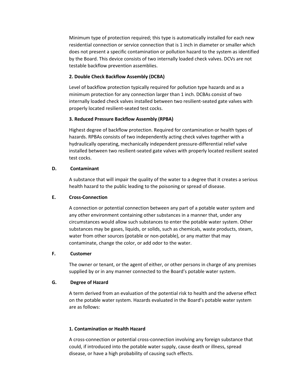Minimum type of protection required; this type is automatically installed for each new residential connection or service connection that is 1 inch in diameter or smaller which does not present a specific contamination or pollution hazard to the system as identified by the Board. This device consists of two internally loaded check valves. DCVs are not testable backflow prevention assemblies.

# 2. Double Check Backflow Assembly (DCBA)

Level of backflow protection typically required for pollution type hazards and as a minimum protection for any connection larger than 1 inch. DCBAs consist of two internally loaded check valves installed between two resilient-seated gate valves with properly located resilient-seated test cocks.

# 3. Reduced Pressure Backflow Assembly (RPBA)

Highest degree of backflow protection. Required for contamination or health types of hazards. RPBAs consists of two independently acting check valves together with a hydraulically operating, mechanically independent pressure-differential relief valve installed between two resilient-seated gate valves with properly located resilient seated test cocks.

# D. Contaminant

A substance that will impair the quality of the water to a degree that it creates a serious health hazard to the public leading to the poisoning or spread of disease.

# E. Cross-Connection

A connection or potential connection between any part of a potable water system and any other environment containing other substances in a manner that, under any circumstances would allow such substances to enter the potable water system. Other substances may be gases, liquids, or solids, such as chemicals, waste products, steam, water from other sources (potable or non-potable), or any matter that may contaminate, change the color, or add odor to the water.

# F. Customer

The owner or tenant, or the agent of either, or other persons in charge of any premises supplied by or in any manner connected to the Board's potable water system.

# G. Degree of Hazard

A term derived from an evaluation of the potential risk to health and the adverse effect on the potable water system. Hazards evaluated in the Board's potable water system are as follows:

# 1. Contamination or Health Hazard

A cross-connection or potential cross-connection involving any foreign substance that could, if introduced into the potable water supply, cause death or illness, spread disease, or have a high probability of causing such effects.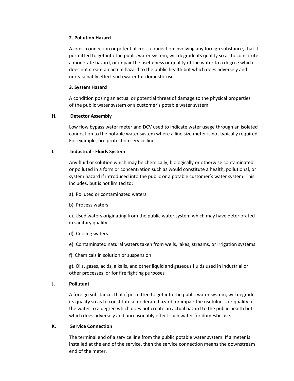# 2. Pollution Hazard

A cross-connection or potential cross-connection involving any foreign substance, that if permitted to get into the public water system, will degrade its quality so as to constitute a moderate hazard, or impair the usefulness or quality of the water to a degree which does not create an actual hazard to the public health but which does adversely and unreasonably effect such water for domestic use.

# 3. System Hazard

A condition posing an actual or potential threat of damage to the physical properties of the public water system or a customer's potable water system.

# H. Detector Assembly

Low flow bypass water meter and DCV used to indicate water usage through an isolated connection to the potable water system where a line size meter is not typically required. For example, fire protection service lines.

# I. Industrial - Fluids System

Any fluid or solution which may be chemically, biologically or otherwise contaminated or polluted in a form or concentration such as would constitute a health, pollutional, or system hazard if introduced into the public or a potable customer's water system. This includes, but is not limited to:

- a). Polluted or contaminated waters
- b). Process waters

c). Used waters originating from the public water system which may have deteriorated in sanitary quality

d). Cooling waters

e). Contaminated natural waters taken from wells, lakes, streams, or irrigation systems

f). Chemicals in solution or suspension

g). Oils, gases, acids, alkalis, and other liquid and gaseous fluids used in industrial or other processes, or for fire fighting purposes

# J. Pollutant

A foreign substance, that if permitted to get into the public water system, will degrade its quality so as to constitute a moderate hazard, or impair the usefulness or quality of the water to a degree which does not create an actual hazard to the public health but which does adversely and unreasonably effect such water for domestic use.

# K. Service Connection

The terminal end of a service line from the public potable water system. If a meter is installed at the end of the service, then the service connection means the downstream end of the meter.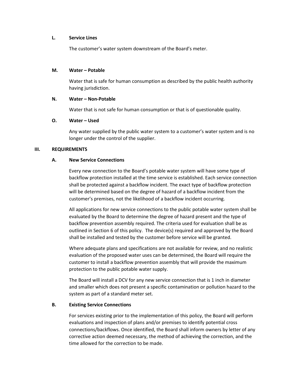#### L. Service Lines

The customer's water system downstream of the Board's meter.

#### M. Water – Potable

Water that is safe for human consumption as described by the public health authority having jurisdiction.

# N. Water – Non-Potable

Water that is not safe for human consumption or that is of questionable quality.

# O. Water – Used

Any water supplied by the public water system to a customer's water system and is no longer under the control of the supplier.

# III. REQUIREMENTS

# A. New Service Connections

Every new connection to the Board's potable water system will have some type of backflow protection installed at the time service is established. Each service connection shall be protected against a backflow incident. The exact type of backflow protection will be determined based on the degree of hazard of a backflow incident from the customer's premises, not the likelihood of a backflow incident occurring.

All applications for new service connections to the public potable water system shall be evaluated by the Board to determine the degree of hazard present and the type of backflow prevention assembly required. The criteria used for evaluation shall be as outlined in Section 6 of this policy. The device(s) required and approved by the Board shall be installed and tested by the customer before service will be granted.

Where adequate plans and specifications are not available for review, and no realistic evaluation of the proposed water uses can be determined, the Board will require the customer to install a backflow prevention assembly that will provide the maximum protection to the public potable water supply.

The Board will install a DCV for any new service connection that is 1 inch in diameter and smaller which does not present a specific contamination or pollution hazard to the system as part of a standard meter set.

# B. Existing Service Connections

For services existing prior to the implementation of this policy, the Board will perform evaluations and inspection of plans and/or premises to identify potential cross connections/backflows. Once identified, the Board shall inform owners by letter of any corrective action deemed necessary, the method of achieving the correction, and the time allowed for the correction to be made.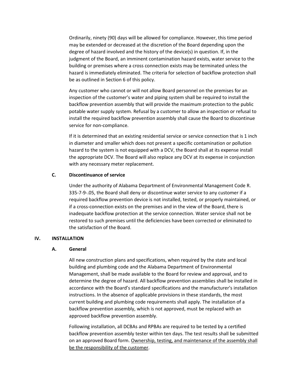Ordinarily, ninety (90) days will be allowed for compliance. However, this time period may be extended or decreased at the discretion of the Board depending upon the degree of hazard involved and the history of the device(s) in question. If, in the judgment of the Board, an imminent contamination hazard exists, water service to the building or premises where a cross connection exists may be terminated unless the hazard is immediately eliminated. The criteria for selection of backflow protection shall be as outlined in Section 6 of this policy.

Any customer who cannot or will not allow Board personnel on the premises for an inspection of the customer's water and piping system shall be required to install the backflow prevention assembly that will provide the maximum protection to the public potable water supply system. Refusal by a customer to allow an inspection or refusal to install the required backflow prevention assembly shall cause the Board to discontinue service for non-compliance.

If it is determined that an existing residential service or service connection that is 1 inch in diameter and smaller which does not present a specific contamination or pollution hazard to the system is not equipped with a DCV, the Board shall at its expense install the appropriate DCV. The Board will also replace any DCV at its expense in conjunction with any necessary meter replacement.

#### C. Discontinuance of service

Under the authority of Alabama Department of Environmental Management Code R. 335-7-9-.05, the Board shall deny or discontinue water service to any customer if a required backflow prevention device is not installed, tested, or properly maintained, or if a cross-connection exists on the premises and in the view of the Board, there is inadequate backflow protection at the service connection. Water service shall not be restored to such premises until the deficiencies have been corrected or eliminated to the satisfaction of the Board.

#### IV. INSTALLATION

# A. General

All new construction plans and specifications, when required by the state and local building and plumbing code and the Alabama Department of Environmental Management, shall be made available to the Board for review and approval, and to determine the degree of hazard. All backflow prevention assemblies shall be installed in accordance with the Board's standard specifications and the manufacturer's installation instructions. In the absence of applicable provisions in these standards, the most current building and plumbing code requirements shall apply. The installation of a backflow prevention assembly, which is not approved, must be replaced with an approved backflow prevention assembly.

Following installation, all DCBAs and RPBAs are required to be tested by a certified backflow prevention assembly tester within ten days. The test results shall be submitted on an approved Board form. Ownership, testing, and maintenance of the assembly shall be the responsibility of the customer.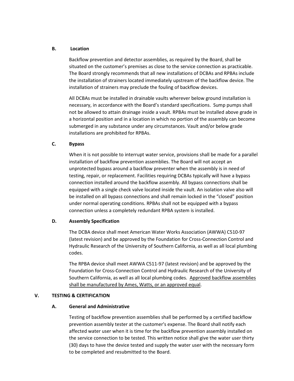# B. Location

Backflow prevention and detector assemblies, as required by the Board, shall be situated on the customer's premises as close to the service connection as practicable. The Board strongly recommends that all new installations of DCBAs and RPBAs include the installation of strainers located immediately upstream of the backflow device. The installation of strainers may preclude the fouling of backflow devices.

All DCBAs must be installed in drainable vaults wherever below ground installation is necessary, in accordance with the Board's standard specifications. Sump pumps shall not be allowed to attain drainage inside a vault. RPBAs must be installed above grade in a horizontal position and in a location in which no portion of the assembly can become submerged in any substance under any circumstances. Vault and/or below grade installations are prohibited for RPBAs.

# C. Bypass

When it is not possible to interrupt water service, provisions shall be made for a parallel installation of backflow prevention assemblies. The Board will not accept an unprotected bypass around a backflow preventer when the assembly is in need of testing, repair, or replacement. Facilities requiring DCBAs typically will have a bypass connection installed around the backflow assembly. All bypass connections shall be equipped with a single check valve located inside the vault. An isolation valve also will be installed on all bypass connections and shall remain locked in the "closed" position under normal operating conditions. RPBAs shall not be equipped with a bypass connection unless a completely redundant RPBA system is installed.

# D. Assembly Specification

The DCBA device shall meet American Water Works Association (AWWA) C510-97 (latest revision) and be approved by the Foundation for Cross-Connection Control and Hydraulic Research of the University of Southern California, as well as all local plumbing codes.

The RPBA device shall meet AWWA C511-97 (latest revision) and be approved by the Foundation for Cross-Connection Control and Hydraulic Research of the University of Southern California, as well as all local plumbing codes. Approved backflow assemblies shall be manufactured by Ames, Watts, or an approved equal.

# V. TESTING & CERTIFICATION

# A. General and Administrative

Testing of backflow prevention assemblies shall be performed by a certified backflow prevention assembly tester at the customer's expense. The Board shall notify each affected water user when it is time for the backflow prevention assembly installed on the service connection to be tested. This written notice shall give the water user thirty (30) days to have the device tested and supply the water user with the necessary form to be completed and resubmitted to the Board.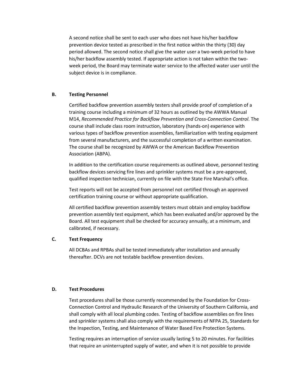A second notice shall be sent to each user who does not have his/her backflow prevention device tested as prescribed in the first notice within the thirty (30) day period allowed. The second notice shall give the water user a two-week period to have his/her backflow assembly tested. If appropriate action is not taken within the twoweek period, the Board may terminate water service to the affected water user until the subject device is in compliance.

# B. Testing Personnel

Certified backflow prevention assembly testers shall provide proof of completion of a training course including a minimum of 32 hours as outlined by the AWWA Manual M14, Recommended Practice for Backflow Prevention and Cross-Connection Control. The course shall include class room instruction, laboratory (hands-on) experience with various types of backflow prevention assemblies, familiarization with testing equipment from several manufacturers, and the successful completion of a written examination. The course shall be recognized by AWWA or the American Backflow Prevention Association (ABPA).

In addition to the certification course requirements as outlined above, personnel testing backflow devices servicing fire lines and sprinkler systems must be a pre-approved, qualified inspection technician, currently on file with the State Fire Marshal's office.

Test reports will not be accepted from personnel not certified through an approved certification training course or without appropriate qualification.

All certified backflow prevention assembly testers must obtain and employ backflow prevention assembly test equipment, which has been evaluated and/or approved by the Board. All test equipment shall be checked for accuracy annually, at a minimum, and calibrated, if necessary.

# C. Test Frequency

All DCBAs and RPBAs shall be tested immediately after installation and annually thereafter. DCVs are not testable backflow prevention devices.

# D. Test Procedures

Test procedures shall be those currently recommended by the Foundation for Cross-Connection Control and Hydraulic Research of the University of Southern California, and shall comply with all local plumbing codes. Testing of backflow assemblies on fire lines and sprinkler systems shall also comply with the requirements of NFPA 25, Standards for the Inspection, Testing, and Maintenance of Water Based Fire Protection Systems.

Testing requires an interruption of service usually lasting 5 to 20 minutes. For facilities that require an uninterrupted supply of water, and when it is not possible to provide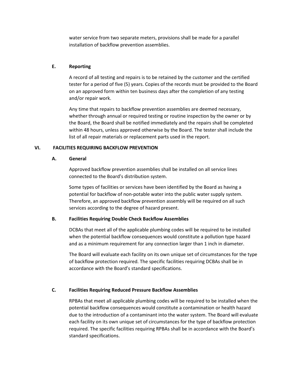water service from two separate meters, provisions shall be made for a parallel installation of backflow prevention assemblies.

# E. Reporting

A record of all testing and repairs is to be retained by the customer and the certified tester for a period of five (5) years. Copies of the records must be provided to the Board on an approved form within ten business days after the completion of any testing and/or repair work.

Any time that repairs to backflow prevention assemblies are deemed necessary, whether through annual or required testing or routine inspection by the owner or by the Board, the Board shall be notified immediately and the repairs shall be completed within 48 hours, unless approved otherwise by the Board. The tester shall include the list of all repair materials or replacement parts used in the report.

# VI. FACILITIES REQUIRING BACKFLOW PREVENTION

# A. General

Approved backflow prevention assemblies shall be installed on all service lines connected to the Board's distribution system.

Some types of facilities or services have been identified by the Board as having a potential for backflow of non-potable water into the public water supply system. Therefore, an approved backflow prevention assembly will be required on all such services according to the degree of hazard present.

# B. Facilities Requiring Double Check Backflow Assemblies

DCBAs that meet all of the applicable plumbing codes will be required to be installed when the potential backflow consequences would constitute a pollution type hazard and as a minimum requirement for any connection larger than 1 inch in diameter.

The Board will evaluate each facility on its own unique set of circumstances for the type of backflow protection required. The specific facilities requiring DCBAs shall be in accordance with the Board's standard specifications.

# C. Facilities Requiring Reduced Pressure Backflow Assemblies

RPBAs that meet all applicable plumbing codes will be required to be installed when the potential backflow consequences would constitute a contamination or health hazard due to the introduction of a contaminant into the water system. The Board will evaluate each facility on its own unique set of circumstances for the type of backflow protection required. The specific facilities requiring RPBAs shall be in accordance with the Board's standard specifications.